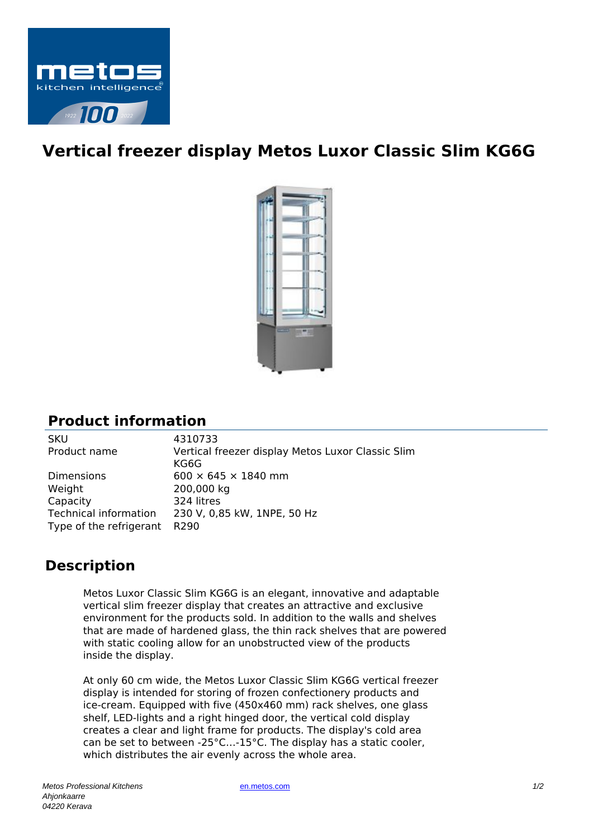

## **Vertical freezer display Metos Luxor Classic Slim KG6G**



## **Product information**

SKU 4310733 Product name Vertical freezer display Metos Luxor Classic Slim KG6G Dimensions 600  $\times$  645  $\times$  1840 mm Weight 200,000 kg Capacity 324 litres Technical information 230 V, 0,85 kW, 1NPE, 50 Hz Type of the refrigerant R290

## **Description**

Metos Luxor Classic Slim KG6G is an elegant, innovative and adaptable vertical slim freezer display that creates an attractive and exclusive environment for the products sold. In addition to the walls and shelves that are made of hardened glass, the thin rack shelves that are powered with static cooling allow for an unobstructed view of the products inside the display.

At only 60 cm wide, the Metos Luxor Classic Slim KG6G vertical freezer display is intended for storing of frozen confectionery products and ice-cream. Equipped with five (450x460 mm) rack shelves, one glass shelf, LED-lights and a right hinged door, the vertical cold display creates a clear and light frame for products. The display's cold area can be set to between -25°C…-15°C. The display has a static cooler, which distributes the air evenly across the whole area.